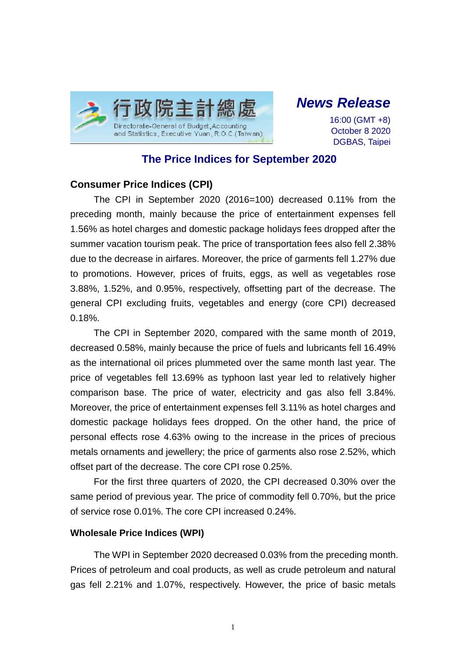

*News Release*

16:00 (GMT +8) October 8 2020 DGBAS, Taipei

# **The Price Indices for September 2020**

## **Consumer Price Indices (CPI)**

The CPI in September 2020 (2016=100) decreased 0.11% from the preceding month, mainly because the price of entertainment expenses fell 1.56% as hotel charges and domestic package holidays fees dropped after the summer vacation tourism peak. The price of transportation fees also fell 2.38% due to the decrease in airfares. Moreover, the price of garments fell 1.27% due to promotions. However, prices of fruits, eggs, as well as vegetables rose 3.88%, 1.52%, and 0.95%, respectively, offsetting part of the decrease. The general CPI excluding fruits, vegetables and energy (core CPI) decreased 0.18%.

The CPI in September 2020, compared with the same month of 2019, decreased 0.58%, mainly because the price of fuels and lubricants fell 16.49% as the international oil prices plummeted over the same month last year. The price of vegetables fell 13.69% as typhoon last year led to relatively higher comparison base. The price of water, electricity and gas also fell 3.84%. Moreover, the price of entertainment expenses fell 3.11% as hotel charges and domestic package holidays fees dropped. On the other hand, the price of personal effects rose 4.63% owing to the increase in the prices of precious metals ornaments and jewellery; the price of garments also rose 2.52%, which offset part of the decrease. The core CPI rose 0.25%.

For the first three quarters of 2020, the CPI decreased 0.30% over the same period of previous year. The price of commodity fell 0.70%, but the price of service rose 0.01%. The core CPI increased 0.24%.

#### **Wholesale Price Indices (WPI)**

The WPI in September 2020 decreased 0.03% from the preceding month. Prices of petroleum and coal products, as well as crude petroleum and natural gas fell 2.21% and 1.07%, respectively. However, the price of basic metals